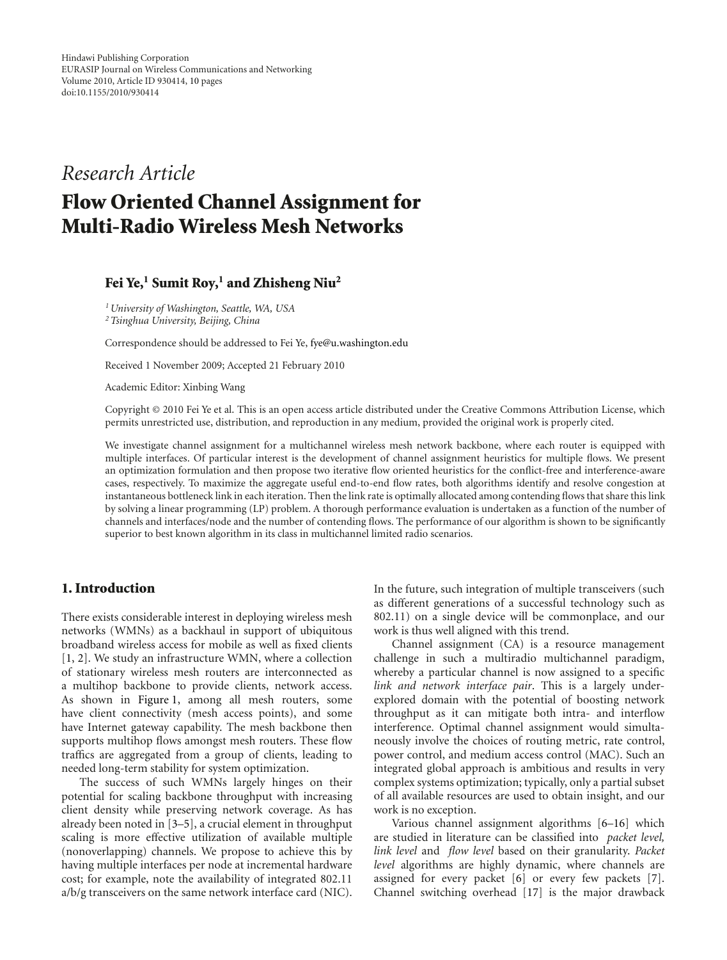Hindawi Publishing Corporation EURASIP Journal on Wireless Communications and Networking Volume 2010, Article ID 930414, 10 pages doi:10.1155/2010/930414

# *Research Article* **Flow Oriented Channel Assignment for Multi-Radio Wireless Mesh Networks**

### **Fei Ye,1 Sumit Roy,1 and Zhisheng Niu2**

*1University of Washington, Seattle, WA, USA 2Tsinghua University, Beijing, China*

Correspondence should be addressed to Fei Ye, fye@u.washington.edu

Received 1 November 2009; Accepted 21 February 2010

Academic Editor: Xinbing Wang

Copyright © 2010 Fei Ye et al. This is an open access article distributed under the Creative Commons Attribution License, which permits unrestricted use, distribution, and reproduction in any medium, provided the original work is properly cited.

We investigate channel assignment for a multichannel wireless mesh network backbone, where each router is equipped with multiple interfaces. Of particular interest is the development of channel assignment heuristics for multiple flows. We present an optimization formulation and then propose two iterative flow oriented heuristics for the conflict-free and interference-aware cases, respectively. To maximize the aggregate useful end-to-end flow rates, both algorithms identify and resolve congestion at instantaneous bottleneck link in each iteration. Then the link rate is optimally allocated among contending flows that share this link by solving a linear programming (LP) problem. A thorough performance evaluation is undertaken as a function of the number of channels and interfaces/node and the number of contending flows. The performance of our algorithm is shown to be significantly superior to best known algorithm in its class in multichannel limited radio scenarios.

### **1. Introduction**

There exists considerable interest in deploying wireless mesh networks (WMNs) as a backhaul in support of ubiquitous broadband wireless access for mobile as well as fixed clients [1, 2]. We study an infrastructure WMN, where a collection of stationary wireless mesh routers are interconnected as a multihop backbone to provide clients, network access. As shown in Figure 1, among all mesh routers, some have client connectivity (mesh access points), and some have Internet gateway capability. The mesh backbone then supports multihop flows amongst mesh routers. These flow traffics are aggregated from a group of clients, leading to needed long-term stability for system optimization.

The success of such WMNs largely hinges on their potential for scaling backbone throughput with increasing client density while preserving network coverage. As has already been noted in [3–5], a crucial element in throughput scaling is more effective utilization of available multiple (nonoverlapping) channels. We propose to achieve this by having multiple interfaces per node at incremental hardware cost; for example, note the availability of integrated 802.11 a/b/g transceivers on the same network interface card (NIC).

In the future, such integration of multiple transceivers (such as different generations of a successful technology such as 802.11) on a single device will be commonplace, and our work is thus well aligned with this trend.

Channel assignment (CA) is a resource management challenge in such a multiradio multichannel paradigm, whereby a particular channel is now assigned to a specific *link and network interface pair*. This is a largely underexplored domain with the potential of boosting network throughput as it can mitigate both intra- and interflow interference. Optimal channel assignment would simultaneously involve the choices of routing metric, rate control, power control, and medium access control (MAC). Such an integrated global approach is ambitious and results in very complex systems optimization; typically, only a partial subset of all available resources are used to obtain insight, and our work is no exception.

Various channel assignment algorithms [6–16] which are studied in literature can be classified into *packet level, link level* and *flow level* based on their granularity. *Packet level* algorithms are highly dynamic, where channels are assigned for every packet [6] or every few packets [7]. Channel switching overhead [17] is the major drawback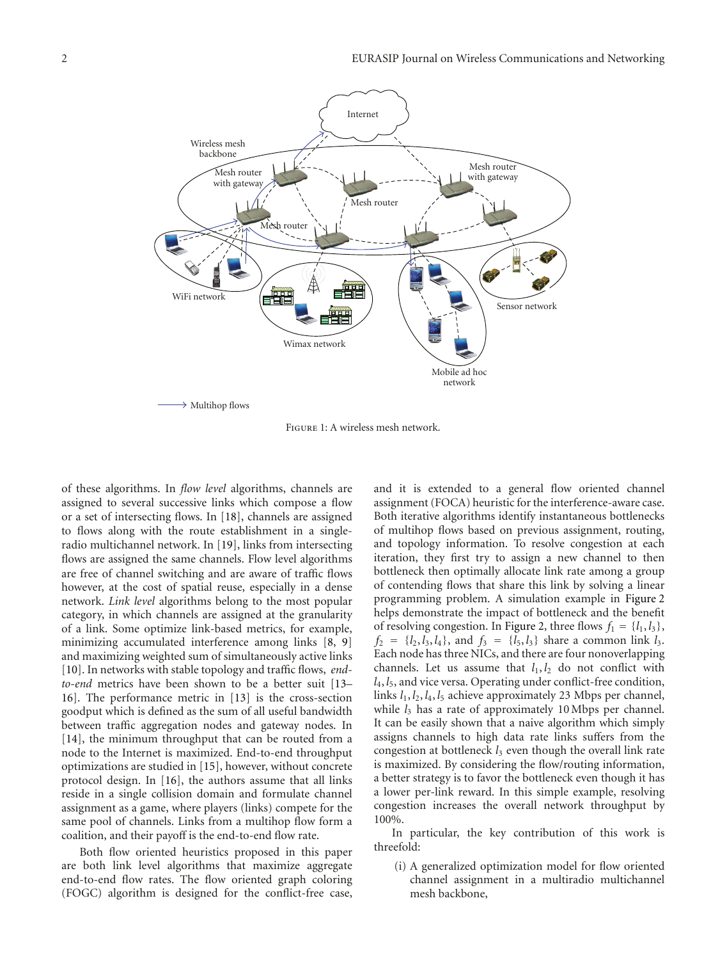

Figure 1: A wireless mesh network.

of these algorithms. In *flow level* algorithms, channels are assigned to several successive links which compose a flow or a set of intersecting flows. In [18], channels are assigned to flows along with the route establishment in a singleradio multichannel network. In [19], links from intersecting flows are assigned the same channels. Flow level algorithms are free of channel switching and are aware of traffic flows however, at the cost of spatial reuse, especially in a dense network. *Link level* algorithms belong to the most popular category, in which channels are assigned at the granularity of a link. Some optimize link-based metrics, for example, minimizing accumulated interference among links [8, 9] and maximizing weighted sum of simultaneously active links [10]. In networks with stable topology and traffic flows, *endto-end* metrics have been shown to be a better suit [13– 16]. The performance metric in [13] is the cross-section goodput which is defined as the sum of all useful bandwidth between traffic aggregation nodes and gateway nodes. In [14], the minimum throughput that can be routed from a node to the Internet is maximized. End-to-end throughput optimizations are studied in [15], however, without concrete protocol design. In [16], the authors assume that all links reside in a single collision domain and formulate channel assignment as a game, where players (links) compete for the same pool of channels. Links from a multihop flow form a coalition, and their payoff is the end-to-end flow rate.

Both flow oriented heuristics proposed in this paper are both link level algorithms that maximize aggregate end-to-end flow rates. The flow oriented graph coloring (FOGC) algorithm is designed for the conflict-free case,

and it is extended to a general flow oriented channel assignment (FOCA) heuristic for the interference-aware case. Both iterative algorithms identify instantaneous bottlenecks of multihop flows based on previous assignment, routing, and topology information. To resolve congestion at each iteration, they first try to assign a new channel to then bottleneck then optimally allocate link rate among a group of contending flows that share this link by solving a linear programming problem. A simulation example in Figure 2 helps demonstrate the impact of bottleneck and the benefit of resolving congestion. In Figure 2, three flows  $f_1 = \{l_1, l_3\}$ ,  $f_2 = \{l_2, l_3, l_4\}$ , and  $f_3 = \{l_5, l_3\}$  share a common link  $l_3$ . Each node has three NICs, and there are four nonoverlapping channels. Let us assume that  $l_1$ ,  $l_2$  do not conflict with *l*4, *l*5, and vice versa. Operating under conflict-free condition, links  $l_1$ ,  $l_2$ ,  $l_4$ ,  $l_5$  achieve approximately 23 Mbps per channel, while  $l_3$  has a rate of approximately 10 Mbps per channel. It can be easily shown that a naive algorithm which simply assigns channels to high data rate links suffers from the congestion at bottleneck *l*<sup>3</sup> even though the overall link rate is maximized. By considering the flow/routing information, a better strategy is to favor the bottleneck even though it has a lower per-link reward. In this simple example, resolving congestion increases the overall network throughput by 100%.

In particular, the key contribution of this work is threefold:

(i) A generalized optimization model for flow oriented channel assignment in a multiradio multichannel mesh backbone,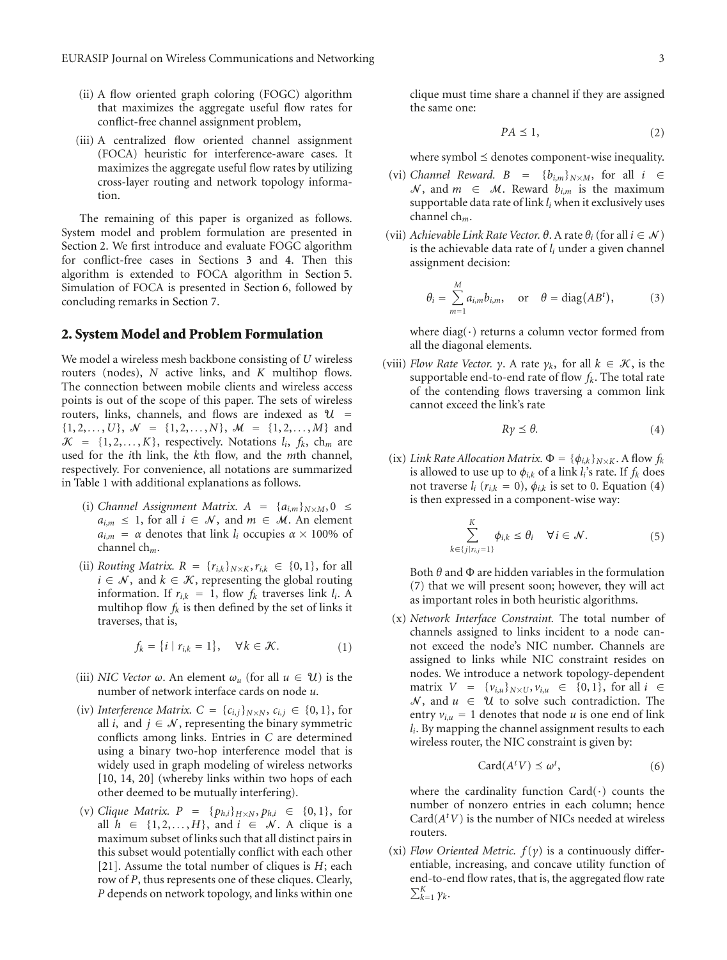- (ii) A flow oriented graph coloring (FOGC) algorithm that maximizes the aggregate useful flow rates for conflict-free channel assignment problem,
- (iii) A centralized flow oriented channel assignment (FOCA) heuristic for interference-aware cases. It maximizes the aggregate useful flow rates by utilizing cross-layer routing and network topology information.

The remaining of this paper is organized as follows. System model and problem formulation are presented in Section 2. We first introduce and evaluate FOGC algorithm for conflict-free cases in Sections 3 and 4. Then this algorithm is extended to FOCA algorithm in Section 5. Simulation of FOCA is presented in Section 6, followed by concluding remarks in Section 7.

#### **2. System Model and Problem Formulation**

We model a wireless mesh backbone consisting of *U* wireless routers (nodes), *N* active links, and *K* multihop flows. The connection between mobile clients and wireless access points is out of the scope of this paper. The sets of wireless routers, links, channels, and flows are indexed as  $U =$  $\{1, 2, \ldots, U\}, \mathcal{N} = \{1, 2, \ldots, N\}, \mathcal{M} = \{1, 2, \ldots, M\}$  and  $K = \{1, 2, \ldots, K\}$ , respectively. Notations  $l_i$ ,  $f_k$ ,  $ch_m$  are used for the *i*th link, the *k*th flow, and the *m*th channel, respectively. For convenience, all notations are summarized in Table 1 with additional explanations as follows.

- (i) *Channel Assignment Matrix.*  $A = {a_{i,m}}_{N \times M}$ , 0  $\leq$  $a_{i,m} \leq 1$ , for all  $i \in \mathcal{N}$ , and  $m \in \mathcal{M}$ . An element  $a_{i,m} = \alpha$  denotes that link  $l_i$  occupies  $\alpha \times 100\%$  of channel ch*m*.
- (ii) *Routing Matrix.*  $R = {r_{i,k}}_{N \times K}, r_{i,k} \in {0, 1}$ , for all  $i \in \mathcal{N}$ , and  $k \in \mathcal{K}$ , representing the global routing information. If  $r_{i,k} = 1$ , flow  $f_k$  traverses link  $l_i$ . A multihop flow  $f_k$  is then defined by the set of links it traverses, that is,

$$
f_k = \{i \mid r_{i,k} = 1\}, \quad \forall k \in \mathcal{K}.
$$
 (1)

- (iii) *NIC Vector*  $\omega$ . An element  $\omega_u$  (for all  $u \in \mathcal{U}$ ) is the number of network interface cards on node *u*.
- (iv) *Interference Matrix.*  $C = \{c_{i,j}\}_{N \times N}$ ,  $c_{i,j} \in \{0,1\}$ , for all *i*, and  $j \in \mathcal{N}$ , representing the binary symmetric conflicts among links. Entries in *C* are determined using a binary two-hop interference model that is widely used in graph modeling of wireless networks [10, 14, 20] (whereby links within two hops of each other deemed to be mutually interfering).
- (v) *Clique Matrix.*  $P = \{p_{h,i}\}_{H \times N}, p_{h,i} \in \{0,1\}$ , for all  $h \in \{1, 2, \ldots, H\}$ , and  $i \in \mathcal{N}$ . A clique is a maximum subset of links such that all distinct pairs in this subset would potentially conflict with each other [21]. Assume the total number of cliques is *H*; each row of *P*, thus represents one of these cliques. Clearly, *P* depends on network topology, and links within one

clique must time share a channel if they are assigned the same one:

$$
PA \le 1,\tag{2}
$$

where symbol  $\leq$  denotes component-wise inequality.

- (vi) *Channel Reward.*  $B = \{b_{i,m}\}_{N \times M}$ , for all  $i \in$ N, and  $m$  ∈ M. Reward  $b_{i,m}$  is the maximum supportable data rate of link *li* when it exclusively uses channel ch*m*.
- (vii) *Achievable Link Rate Vector.*  $\theta$ . A rate  $\theta_i$  (for all  $i \in \mathcal{N}$ ) is the achievable data rate of *li* under a given channel assignment decision:

$$
\theta_i = \sum_{m=1}^{M} a_{i,m} b_{i,m}, \quad \text{or} \quad \theta = \text{diag}(AB^t), \quad (3)
$$

where diag( $\cdot$ ) returns a column vector formed from all the diagonal elements.

(viii) *Flow Rate Vector.*  $\gamma$ . A rate  $\gamma_k$ , for all  $k \in \mathcal{K}$ , is the supportable end-to-end rate of flow  $f_k$ . The total rate of the contending flows traversing a common link cannot exceed the link's rate

$$
R\gamma \leq \theta. \tag{4}
$$

(ix) *Link Rate Allocation Matrix.*  $\Phi = {\phi_{i,k}}_{N \times K}$ . A flow  $f_k$ is allowed to use up to  $\phi_{i,k}$  of a link  $l_i$ 's rate. If  $f_k$  does not traverse  $l_i$  ( $r_{i,k} = 0$ ),  $\phi_{i,k}$  is set to 0. Equation (4) is then expressed in a component-wise way:

$$
\sum_{k \in \{j|r_{i,j}=1\}}^{K} \phi_{i,k} \leq \theta_i \quad \forall i \in \mathcal{N}.
$$
 (5)

Both  $\theta$  and  $\Phi$  are hidden variables in the formulation (7) that we will present soon; however, they will act as important roles in both heuristic algorithms.

(x) *Network Interface Constraint.* The total number of channels assigned to links incident to a node cannot exceed the node's NIC number. Channels are assigned to links while NIC constraint resides on nodes. We introduce a network topology-dependent matrix *V* = { $v_{i,u}$ }<sub>*N*×*U*</sub>,  $v_{i,u}$  ∈ {0, 1}, for all *i* ∈  $\mathcal{N}$ , and  $u \in \mathcal{U}$  to solve such contradiction. The entry  $v_{i,u} = 1$  denotes that node *u* is one end of link *li*. By mapping the channel assignment results to each wireless router, the NIC constraint is given by:

$$
Card(A^t V) \le \omega^t,\tag{6}
$$

where the cardinality function  $Card(\cdot)$  counts the number of nonzero entries in each column; hence  $Card(A<sup>t</sup>V)$  is the number of NICs needed at wireless routers.

(xi) *Flow Oriented Metric. f* (*γ*) is a continuously differentiable, increasing, and concave utility function of end-to-end flow rates, that is, the aggregated flow rate  $\sum_{k=1}^K$  γ<sub>k</sub>.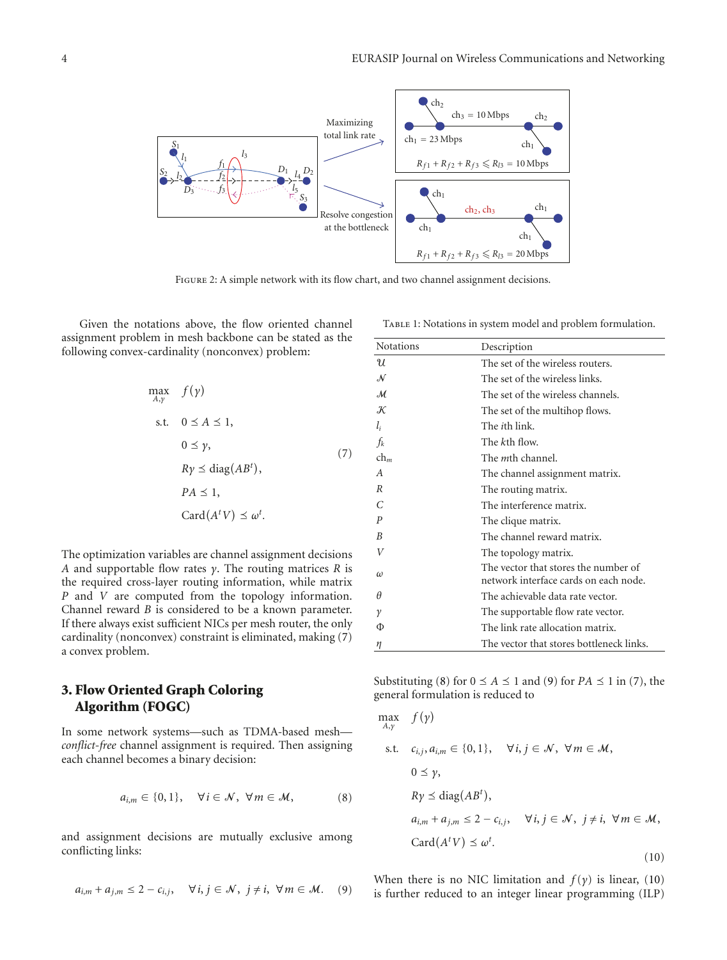

Figure 2: A simple network with its flow chart, and two channel assignment decisions.

Given the notations above, the flow oriented channel assignment problem in mesh backbone can be stated as the following convex-cardinality (nonconvex) problem:

$$
\max_{A,y} f(y)
$$
\n
$$
\text{s.t.} \quad 0 \le A \le 1,
$$
\n
$$
0 \le y,
$$
\n
$$
Ry \le \text{diag}(AB^{t}),
$$
\n
$$
PA \le 1,
$$
\n
$$
\text{Card}(A^{t}V) \le \omega^{t}.
$$
\n(7)

The optimization variables are channel assignment decisions *A* and supportable flow rates *γ*. The routing matrices *R* is the required cross-layer routing information, while matrix *P* and *V* are computed from the topology information. Channel reward *B* is considered to be a known parameter. If there always exist sufficient NICs per mesh router, the only cardinality (nonconvex) constraint is eliminated, making (7) a convex problem.

### **3. Flow Oriented Graph Coloring Algorithm (FOGC)**

In some network systems—such as TDMA-based mesh *conflict-free* channel assignment is required. Then assigning each channel becomes a binary decision:

$$
a_{i,m} \in \{0,1\}, \quad \forall i \in \mathcal{N}, \ \forall m \in \mathcal{M}, \tag{8}
$$

and assignment decisions are mutually exclusive among conflicting links:

$$
a_{i,m} + a_{j,m} \leq 2 - c_{i,j}, \quad \forall i, j \in \mathcal{N}, \ j \neq i, \ \forall m \in \mathcal{M}.
$$
 (9)

TABLE 1: Notations in system model and problem formulation.

| <b>Notations</b> | Description                                                                   |
|------------------|-------------------------------------------------------------------------------|
| U                | The set of the wireless routers.                                              |
| $\mathcal N$     | The set of the wireless links.                                                |
| .M.              | The set of the wireless channels.                                             |
| Ж.               | The set of the multihop flows.                                                |
| $l_i$            | The <i>i</i> th link.                                                         |
| $f_k$            | The kth flow.                                                                 |
| $\ch_m$          | The mth channel.                                                              |
| $\overline{A}$   | The channel assignment matrix.                                                |
| R                | The routing matrix.                                                           |
| $\mathcal{C}$    | The interference matrix.                                                      |
| $\boldsymbol{P}$ | The clique matrix.                                                            |
| $\boldsymbol{B}$ | The channel reward matrix.                                                    |
| V                | The topology matrix.                                                          |
| $\omega$         | The vector that stores the number of<br>network interface cards on each node. |
| θ                | The achievable data rate vector.                                              |
| $\mathcal V$     | The supportable flow rate vector.                                             |
| Φ                | The link rate allocation matrix.                                              |
| η                | The vector that stores bottleneck links.                                      |

Substituting (8) for  $0 \le A \le 1$  and (9) for  $PA \le 1$  in (7), the general formulation is reduced to

$$
\max_{A,y} f(\gamma)
$$
\n
$$
\text{s.t.} \quad c_{i,j}, a_{i,m} \in \{0, 1\}, \quad \forall i, j \in \mathcal{N}, \ \forall m \in \mathcal{M},
$$
\n
$$
0 \leq \gamma,
$$
\n
$$
R\gamma \leq \text{diag}(AB^t),
$$
\n
$$
a_{i,m} + a_{j,m} \leq 2 - c_{i,j}, \quad \forall i, j \in \mathcal{N}, j \neq i, \ \forall m \in \mathcal{M},
$$
\n
$$
\text{Card}(A^t V) \leq \omega^t.
$$
\n
$$
(10)
$$

When there is no NIC limitation and  $f(y)$  is linear, (10) is further reduced to an integer linear programming (ILP)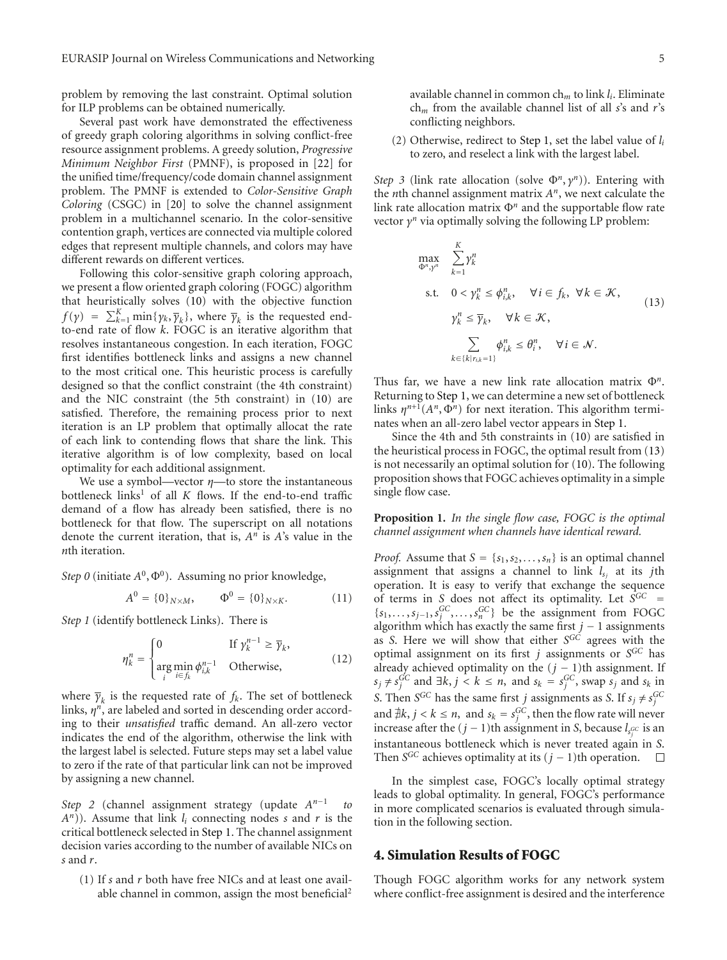problem by removing the last constraint. Optimal solution for ILP problems can be obtained numerically.

Several past work have demonstrated the effectiveness of greedy graph coloring algorithms in solving conflict-free resource assignment problems. A greedy solution, *Progressive Minimum Neighbor First* (PMNF), is proposed in [22] for the unified time/frequency/code domain channel assignment problem. The PMNF is extended to *Color-Sensitive Graph Coloring* (CSGC) in [20] to solve the channel assignment problem in a multichannel scenario. In the color-sensitive contention graph, vertices are connected via multiple colored edges that represent multiple channels, and colors may have different rewards on different vertices.

Following this color-sensitive graph coloring approach, we present a flow oriented graph coloring (FOGC) algorithm that heuristically solves (10) with the objective function  $f(\gamma) = \sum_{k=1}^{K} \min{\{\gamma_k, \overline{\gamma}_k\}}$ , where  $\overline{\gamma}_k$  is the requested endto-end rate of flow *k*. FOGC is an iterative algorithm that resolves instantaneous congestion. In each iteration, FOGC first identifies bottleneck links and assigns a new channel to the most critical one. This heuristic process is carefully designed so that the conflict constraint (the 4th constraint) and the NIC constraint (the 5th constraint) in (10) are satisfied. Therefore, the remaining process prior to next iteration is an LP problem that optimally allocat the rate of each link to contending flows that share the link. This iterative algorithm is of low complexity, based on local optimality for each additional assignment.

We use a symbol—vector *η*—to store the instantaneous bottleneck links<sup>1</sup> of all  $K$  flows. If the end-to-end traffic demand of a flow has already been satisfied, there is no bottleneck for that flow. The superscript on all notations denote the current iteration, that is, *An* is *A*'s value in the *n*th iteration.

*Step 0* (initiate  $A^0$ , Φ<sup>0</sup>). Assuming no prior knowledge,

$$
A^{0} = \{0\}_{N\times M}, \qquad \Phi^{0} = \{0\}_{N\times K}.
$$
 (11)

*Step 1* (identify bottleneck Links). There is

$$
\eta_k^n = \begin{cases} 0 & \text{If } \gamma_k^{n-1} \ge \overline{\gamma}_k, \\ \arg\min_{i} \phi_{i,k}^{n-1} & \text{Otherwise,} \end{cases}
$$
(12)

where  $\bar{\gamma}_k$  is the requested rate of  $f_k$ . The set of bottleneck links, *η<sup>n</sup>*, are labeled and sorted in descending order according to their *unsatisfied* traffic demand. An all-zero vector indicates the end of the algorithm, otherwise the link with the largest label is selected. Future steps may set a label value to zero if the rate of that particular link can not be improved by assigning a new channel.

*Step 2* (channel assignment strategy (update *An*−<sup>1</sup> *to*  $(A<sup>n</sup>)$ ). Assume that link  $l<sub>i</sub>$  connecting nodes *s* and *r* is the critical bottleneck selected in Step 1. The channel assignment decision varies according to the number of available NICs on *s* and *r*.

(1) If *s* and *r* both have free NICs and at least one available channel in common, assign the most beneficial<sup>2</sup> available channel in common ch*<sup>m</sup>* to link *li*. Eliminate ch*<sup>m</sup>* from the available channel list of all *s*'s and *r*'s conflicting neighbors.

(2) Otherwise, redirect to Step 1, set the label value of *li* to zero, and reselect a link with the largest label.

*Step 3* (link rate allocation (solve Φ*n*, *γn*)). Entering with the *n*th channel assignment matrix *An*, we next calculate the link rate allocation matrix Φ*<sup>n</sup>* and the supportable flow rate vector *γ<sup>n</sup>* via optimally solving the following LP problem:

$$
\max_{\Phi^n, \gamma^n} \sum_{k=1}^K \gamma_k^n
$$
\ns.t.  $0 < \gamma_k^n \le \phi_{i,k}^n$ ,  $\forall i \in f_k$ ,  $\forall k \in \mathcal{K}$ ,  
\n
$$
\gamma_k^n \le \overline{\gamma}_k, \quad \forall k \in \mathcal{K},
$$
\n
$$
\sum_{k \in \{k | r_{i,k} = 1\}} \phi_{i,k}^n \le \theta_i^n, \quad \forall i \in \mathcal{N}.
$$
\n(13)

Thus far, we have a new link rate allocation matrix Φ*<sup>n</sup>*. Returning to Step 1, we can determine a new set of bottleneck links  $\eta^{n+1}(A^n, \Phi^n)$  for next iteration. This algorithm terminates when an all-zero label vector appears in Step 1.

Since the 4th and 5th constraints in (10) are satisfied in the heuristical process in FOGC, the optimal result from (13) is not necessarily an optimal solution for (10). The following proposition shows that FOGC achieves optimality in a simple single flow case.

**Proposition 1.** *In the single flow case, FOGC is the optimal channel assignment when channels have identical reward.*

*Proof.* Assume that  $S = \{s_1, s_2, \ldots, s_n\}$  is an optimal channel assignment that assigns a channel to link  $l_{s_i}$  at its *j*th operation. It is easy to verify that exchange the sequence of terms in *S* does not affect its optimality. Let *SGC* <sup>=</sup>  ${s_1, \ldots, s_{j-1}, s_j^{GC}, \ldots, s_n^{GC}}$  be the assignment from FOGC algorithm which has exactly the same first *j* − 1 assignments as *S*. Here we will show that either *SGC* agrees with the optimal assignment on its first *j* assignments or *SGC* has already achieved optimality on the (*j* − 1)th assignment. If  $s_j \neq s_j^{GC}$  and  $\exists k, j < k \leq n$ , and  $s_k = s_j^{GC}$ , swap  $s_j$  and  $s_k$  in *S*. Then *S<sup>GC</sup>* has the same first *j* assignments as *S*. If  $s_j \neq s_j^{GC}$ and  $\sharp k$ ,  $j < k \leq n$ , and  $s_k = s_j^{GC}$ , then the flow rate will never increase after the  $(j - 1)$ th assignment in *S*, because  $l_{s_j^{\text{GC}}}$  is an instantaneous bottleneck which is never treated again in *S*. Then *SGC* achieves optimality at its (*j* <sup>−</sup> 1)th operation.

In the simplest case, FOGC's locally optimal strategy leads to global optimality. In general, FOGC's performance in more complicated scenarios is evaluated through simulation in the following section.

### **4. Simulation Results of FOGC**

Though FOGC algorithm works for any network system where conflict-free assignment is desired and the interference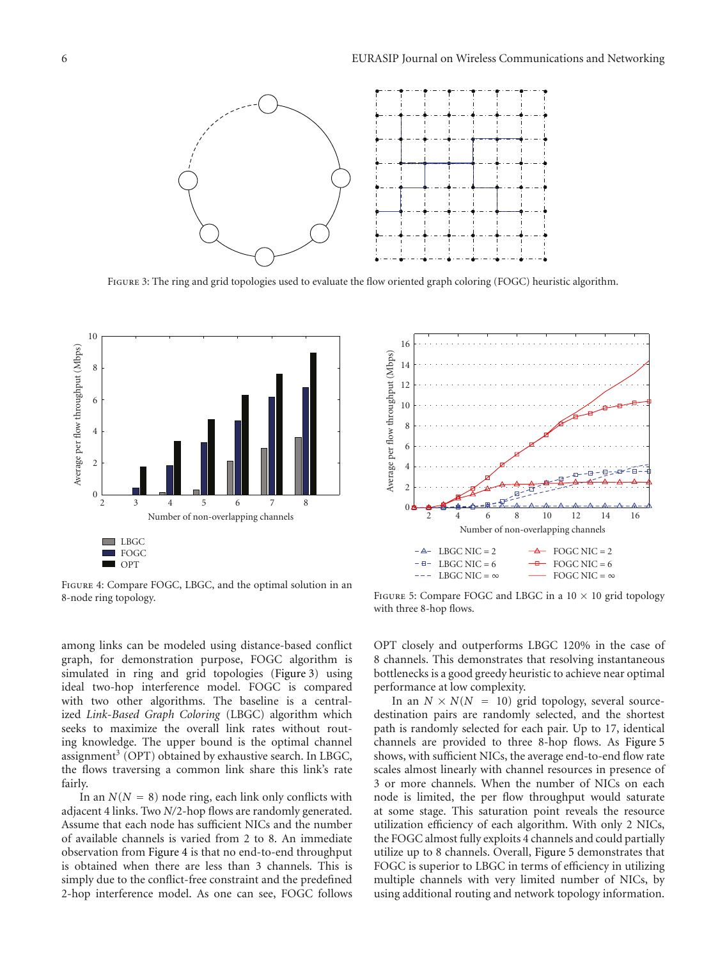

Figure 3: The ring and grid topologies used to evaluate the flow oriented graph coloring (FOGC) heuristic algorithm.



16 Average per flow throughput (Mbps) Average per flow throughput (Mbps) 14 12 10 8 6 4 2 0 2 4 6 8 10 12 14 16 Number of non-overlapping channels  $-A$ - LBGC NIC = 2  $\rightarrow$  FOGC NIC = 2 LBGC NIC  $= 6$ FOGC NIC  $= 6$  $-\Theta$ -LBGC NIC =  $\infty$ FOGC NIC =  $\infty$ 

Figure 4: Compare FOGC, LBGC, and the optimal solution in an 8-node ring topology.

among links can be modeled using distance-based conflict graph, for demonstration purpose, FOGC algorithm is simulated in ring and grid topologies (Figure 3) using ideal two-hop interference model. FOGC is compared with two other algorithms. The baseline is a centralized *Link-Based Graph Coloring* (LBGC) algorithm which seeks to maximize the overall link rates without routing knowledge. The upper bound is the optimal channel assignment<sup>3</sup> (OPT) obtained by exhaustive search. In LBGC, the flows traversing a common link share this link's rate fairly.

In an  $N(N = 8)$  node ring, each link only conflicts with adjacent 4 links. Two *N/*2-hop flows are randomly generated. Assume that each node has sufficient NICs and the number of available channels is varied from 2 to 8. An immediate observation from Figure 4 is that no end-to-end throughput is obtained when there are less than 3 channels. This is simply due to the conflict-free constraint and the predefined 2-hop interference model. As one can see, FOGC follows

FIGURE 5: Compare FOGC and LBGC in a  $10 \times 10$  grid topology with three 8-hop flows.

OPT closely and outperforms LBGC 120% in the case of 8 channels. This demonstrates that resolving instantaneous bottlenecks is a good greedy heuristic to achieve near optimal performance at low complexity.

In an  $N \times N(N = 10)$  grid topology, several sourcedestination pairs are randomly selected, and the shortest path is randomly selected for each pair. Up to 17, identical channels are provided to three 8-hop flows. As Figure 5 shows, with sufficient NICs, the average end-to-end flow rate scales almost linearly with channel resources in presence of 3 or more channels. When the number of NICs on each node is limited, the per flow throughput would saturate at some stage. This saturation point reveals the resource utilization efficiency of each algorithm. With only 2 NICs, the FOGC almost fully exploits 4 channels and could partially utilize up to 8 channels. Overall, Figure 5 demonstrates that FOGC is superior to LBGC in terms of efficiency in utilizing multiple channels with very limited number of NICs, by using additional routing and network topology information.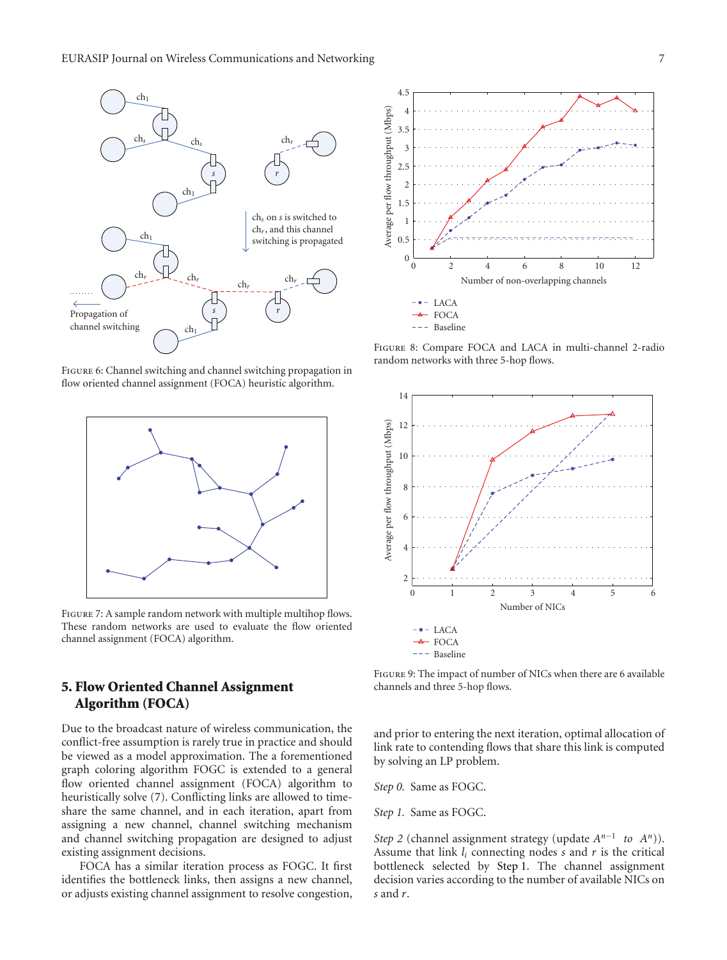

Figure 6: Channel switching and channel switching propagation in flow oriented channel assignment (FOCA) heuristic algorithm.



FIGURE 7: A sample random network with multiple multihop flows. These random networks are used to evaluate the flow oriented channel assignment (FOCA) algorithm.

## **5. Flow Oriented Channel Assignment Algorithm (FOCA)**

Due to the broadcast nature of wireless communication, the conflict-free assumption is rarely true in practice and should be viewed as a model approximation. The a forementioned graph coloring algorithm FOGC is extended to a general flow oriented channel assignment (FOCA) algorithm to heuristically solve (7). Conflicting links are allowed to timeshare the same channel, and in each iteration, apart from assigning a new channel, channel switching mechanism and channel switching propagation are designed to adjust existing assignment decisions.

FOCA has a similar iteration process as FOGC. It first identifies the bottleneck links, then assigns a new channel, or adjusts existing channel assignment to resolve congestion,



Figure 8: Compare FOCA and LACA in multi-channel 2-radio random networks with three 5-hop flows.



Figure 9: The impact of number of NICs when there are 6 available channels and three 5-hop flows.

and prior to entering the next iteration, optimal allocation of link rate to contending flows that share this link is computed by solving an LP problem.

*Step 0.* Same as FOGC.

*Step 1.* Same as FOGC.

*Step 2* (channel assignment strategy (update *An*−<sup>1</sup> *to An*)). Assume that link *li* connecting nodes *s* and *r* is the critical bottleneck selected by Step 1. The channel assignment decision varies according to the number of available NICs on *s* and *r*.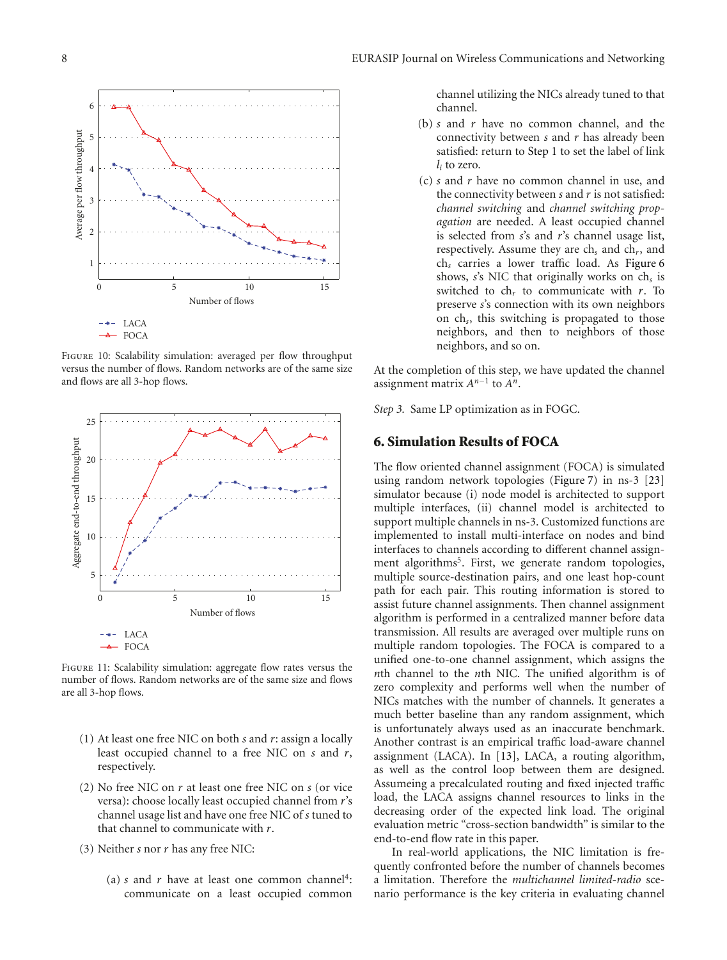

Figure 10: Scalability simulation: averaged per flow throughput versus the number of flows. Random networks are of the same size and flows are all 3-hop flows.



Figure 11: Scalability simulation: aggregate flow rates versus the number of flows. Random networks are of the same size and flows are all 3-hop flows.

- (1) At least one free NIC on both *s* and *r*: assign a locally least occupied channel to a free NIC on *s* and *r*, respectively.
- (2) No free NIC on *r* at least one free NIC on *s* (or vice versa): choose locally least occupied channel from *r*'s channel usage list and have one free NIC of *s* tuned to that channel to communicate with *r*.
- (3) Neither *s* nor *r* has any free NIC:
	- (a)  $s$  and  $r$  have at least one common channel<sup>4</sup>: communicate on a least occupied common

channel utilizing the NICs already tuned to that channel.

- (b) *s* and *r* have no common channel, and the connectivity between *s* and *r* has already been satisfied: return to Step 1 to set the label of link  $l_i$  to zero.
- (c) *s* and *r* have no common channel in use, and the connectivity between *s* and *r* is not satisfied: *channel switching* and *channel switching propagation* are needed. A least occupied channel is selected from *s*'s and *r*'s channel usage list, respectively. Assume they are ch*<sup>s</sup>* and ch*r*, and ch*<sup>s</sup>* carries a lower traffic load. As Figure 6 shows, *s*'s NIC that originally works on ch*<sup>s</sup>* is switched to ch*<sup>r</sup>* to communicate with *r*. To preserve *s*'s connection with its own neighbors on ch*s*, this switching is propagated to those neighbors, and then to neighbors of those neighbors, and so on.

At the completion of this step, we have updated the channel assignment matrix *An*−<sup>1</sup> to *An*.

*Step 3.* Same LP optimization as in FOGC.

### **6. Simulation Results of FOCA**

The flow oriented channel assignment (FOCA) is simulated using random network topologies (Figure 7) in ns-3 [23] simulator because (i) node model is architected to support multiple interfaces, (ii) channel model is architected to support multiple channels in ns-3. Customized functions are implemented to install multi-interface on nodes and bind interfaces to channels according to different channel assignment algorithms<sup>5</sup>. First, we generate random topologies, multiple source-destination pairs, and one least hop-count path for each pair. This routing information is stored to assist future channel assignments. Then channel assignment algorithm is performed in a centralized manner before data transmission. All results are averaged over multiple runs on multiple random topologies. The FOCA is compared to a unified one-to-one channel assignment, which assigns the *n*th channel to the *n*th NIC. The unified algorithm is of zero complexity and performs well when the number of NICs matches with the number of channels. It generates a much better baseline than any random assignment, which is unfortunately always used as an inaccurate benchmark. Another contrast is an empirical traffic load-aware channel assignment (LACA). In [13], LACA, a routing algorithm, as well as the control loop between them are designed. Assumeing a precalculated routing and fixed injected traffic load, the LACA assigns channel resources to links in the decreasing order of the expected link load. The original evaluation metric "cross-section bandwidth" is similar to the end-to-end flow rate in this paper.

In real-world applications, the NIC limitation is frequently confronted before the number of channels becomes a limitation. Therefore the *multichannel limited-radio* scenario performance is the key criteria in evaluating channel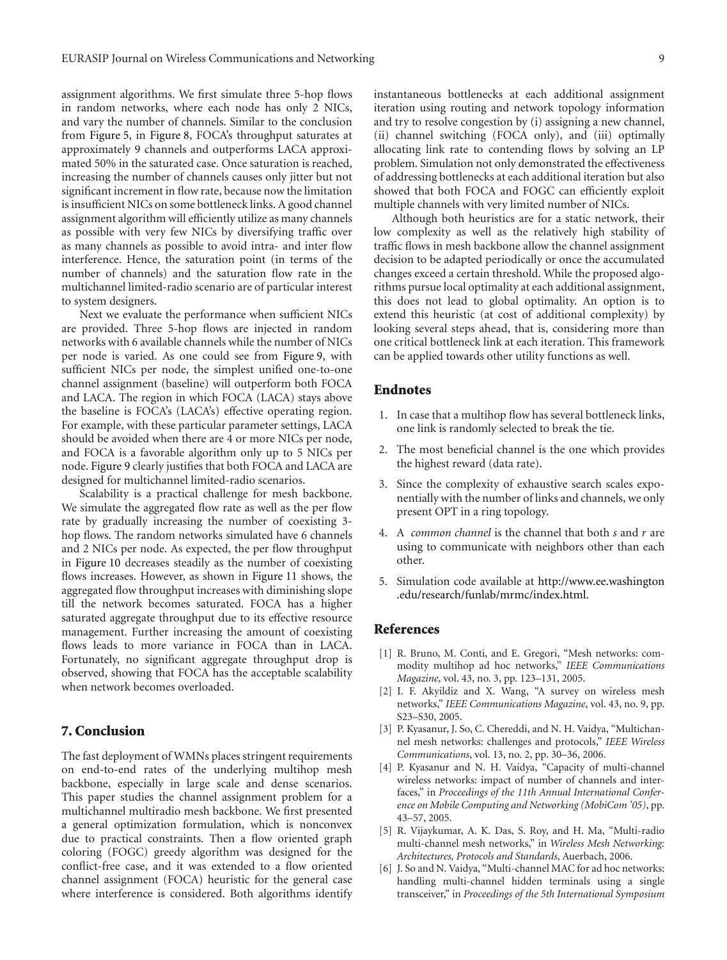assignment algorithms. We first simulate three 5-hop flows in random networks, where each node has only 2 NICs, and vary the number of channels. Similar to the conclusion from Figure 5, in Figure 8, FOCA's throughput saturates at approximately 9 channels and outperforms LACA approximated 50% in the saturated case. Once saturation is reached, increasing the number of channels causes only jitter but not significant increment in flow rate, because now the limitation is insufficient NICs on some bottleneck links. A good channel assignment algorithm will efficiently utilize as many channels as possible with very few NICs by diversifying traffic over as many channels as possible to avoid intra- and inter flow interference. Hence, the saturation point (in terms of the number of channels) and the saturation flow rate in the multichannel limited-radio scenario are of particular interest to system designers.

Next we evaluate the performance when sufficient NICs are provided. Three 5-hop flows are injected in random networks with 6 available channels while the number of NICs per node is varied. As one could see from Figure 9, with sufficient NICs per node, the simplest unified one-to-one channel assignment (baseline) will outperform both FOCA and LACA. The region in which FOCA (LACA) stays above the baseline is FOCA's (LACA's) effective operating region. For example, with these particular parameter settings, LACA should be avoided when there are 4 or more NICs per node, and FOCA is a favorable algorithm only up to 5 NICs per node. Figure 9 clearly justifies that both FOCA and LACA are designed for multichannel limited-radio scenarios.

Scalability is a practical challenge for mesh backbone. We simulate the aggregated flow rate as well as the per flow rate by gradually increasing the number of coexisting 3 hop flows. The random networks simulated have 6 channels and 2 NICs per node. As expected, the per flow throughput in Figure 10 decreases steadily as the number of coexisting flows increases. However, as shown in Figure 11 shows, the aggregated flow throughput increases with diminishing slope till the network becomes saturated. FOCA has a higher saturated aggregate throughput due to its effective resource management. Further increasing the amount of coexisting flows leads to more variance in FOCA than in LACA. Fortunately, no significant aggregate throughput drop is observed, showing that FOCA has the acceptable scalability when network becomes overloaded.

### **7. Conclusion**

The fast deployment of WMNs places stringent requirements on end-to-end rates of the underlying multihop mesh backbone, especially in large scale and dense scenarios. This paper studies the channel assignment problem for a multichannel multiradio mesh backbone. We first presented a general optimization formulation, which is nonconvex due to practical constraints. Then a flow oriented graph coloring (FOGC) greedy algorithm was designed for the conflict-free case, and it was extended to a flow oriented channel assignment (FOCA) heuristic for the general case where interference is considered. Both algorithms identify instantaneous bottlenecks at each additional assignment iteration using routing and network topology information and try to resolve congestion by (i) assigning a new channel, (ii) channel switching (FOCA only), and (iii) optimally allocating link rate to contending flows by solving an LP problem. Simulation not only demonstrated the effectiveness of addressing bottlenecks at each additional iteration but also showed that both FOCA and FOGC can efficiently exploit multiple channels with very limited number of NICs.

Although both heuristics are for a static network, their low complexity as well as the relatively high stability of traffic flows in mesh backbone allow the channel assignment decision to be adapted periodically or once the accumulated changes exceed a certain threshold. While the proposed algorithms pursue local optimality at each additional assignment, this does not lead to global optimality. An option is to extend this heuristic (at cost of additional complexity) by looking several steps ahead, that is, considering more than one critical bottleneck link at each iteration. This framework can be applied towards other utility functions as well.

### **Endnotes**

- 1. In case that a multihop flow has several bottleneck links, one link is randomly selected to break the tie.
- 2. The most beneficial channel is the one which provides the highest reward (data rate).
- 3. Since the complexity of exhaustive search scales exponentially with the number of links and channels, we only present OPT in a ring topology.
- 4. A *common channel* is the channel that both *s* and *r* are using to communicate with neighbors other than each other.
- 5. Simulation code available at http://www.ee.washington .edu/research/funlab/mrmc/index.html.

### **References**

- [1] R. Bruno, M. Conti, and E. Gregori, "Mesh networks: commodity multihop ad hoc networks," *IEEE Communications Magazine*, vol. 43, no. 3, pp. 123–131, 2005.
- [2] I. F. Akyildiz and X. Wang, "A survey on wireless mesh networks," *IEEE Communications Magazine*, vol. 43, no. 9, pp. S23–S30, 2005.
- [3] P. Kyasanur, J. So, C. Chereddi, and N. H. Vaidya, "Multichannel mesh networks: challenges and protocols," *IEEE Wireless Communications*, vol. 13, no. 2, pp. 30–36, 2006.
- [4] P. Kyasanur and N. H. Vaidya, "Capacity of multi-channel wireless networks: impact of number of channels and interfaces," in *Proceedings of the 11th Annual International Conference on Mobile Computing and Networking (MobiCom '05)*, pp. 43–57, 2005.
- [5] R. Vijaykumar, A. K. Das, S. Roy, and H. Ma, "Multi-radio multi-channel mesh networks," in *Wireless Mesh Networking: Architectures, Protocols and Standards*, Auerbach, 2006.
- [6] J. So and N. Vaidya, "Multi-channel MAC for ad hoc networks: handling multi-channel hidden terminals using a single transceiver," in *Proceedings of the 5th International Symposium*